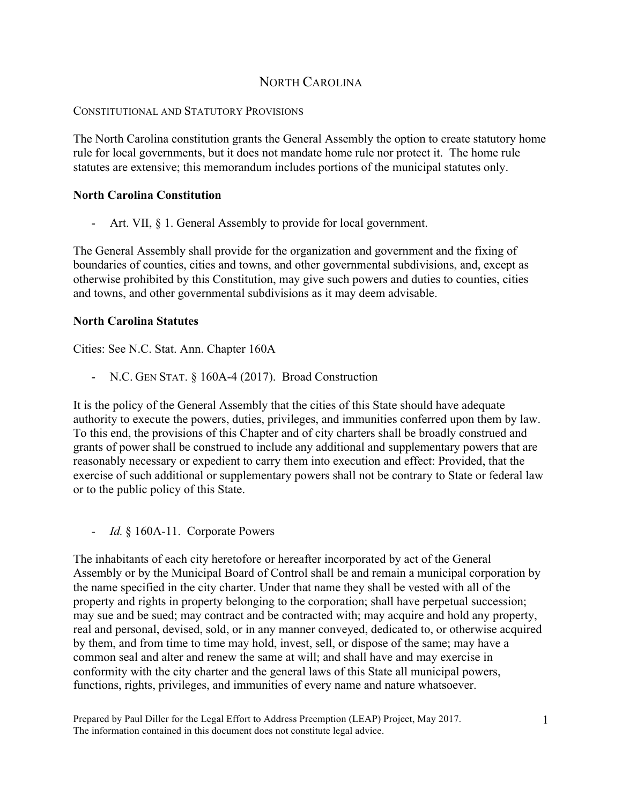# NORTH CAROLINA

## CONSTITUTIONAL AND STATUTORY PROVISIONS

The North Carolina constitution grants the General Assembly the option to create statutory home rule for local governments, but it does not mandate home rule nor protect it. The home rule statutes are extensive; this memorandum includes portions of the municipal statutes only.

## **North Carolina Constitution**

Art. VII, § 1. General Assembly to provide for local government.

The General Assembly shall provide for the organization and government and the fixing of boundaries of counties, cities and towns, and other governmental subdivisions, and, except as otherwise prohibited by this Constitution, may give such powers and duties to counties, cities and towns, and other governmental subdivisions as it may deem advisable.

## **North Carolina Statutes**

Cities: See N.C. Stat. Ann. Chapter 160A

- N.C. GEN STAT. § 160A-4 (2017). Broad Construction

It is the policy of the General Assembly that the cities of this State should have adequate authority to execute the powers, duties, privileges, and immunities conferred upon them by law. To this end, the provisions of this Chapter and of city charters shall be broadly construed and grants of power shall be construed to include any additional and supplementary powers that are reasonably necessary or expedient to carry them into execution and effect: Provided, that the exercise of such additional or supplementary powers shall not be contrary to State or federal law or to the public policy of this State.

- *Id.* § 160A-11. Corporate Powers

The inhabitants of each city heretofore or hereafter incorporated by act of the General Assembly or by the Municipal Board of Control shall be and remain a municipal corporation by the name specified in the city charter. Under that name they shall be vested with all of the property and rights in property belonging to the corporation; shall have perpetual succession; may sue and be sued; may contract and be contracted with; may acquire and hold any property, real and personal, devised, sold, or in any manner conveyed, dedicated to, or otherwise acquired by them, and from time to time may hold, invest, sell, or dispose of the same; may have a common seal and alter and renew the same at will; and shall have and may exercise in conformity with the city charter and the general laws of this State all municipal powers, functions, rights, privileges, and immunities of every name and nature whatsoever.

Prepared by Paul Diller for the Legal Effort to Address Preemption (LEAP) Project, May 2017. The information contained in this document does not constitute legal advice.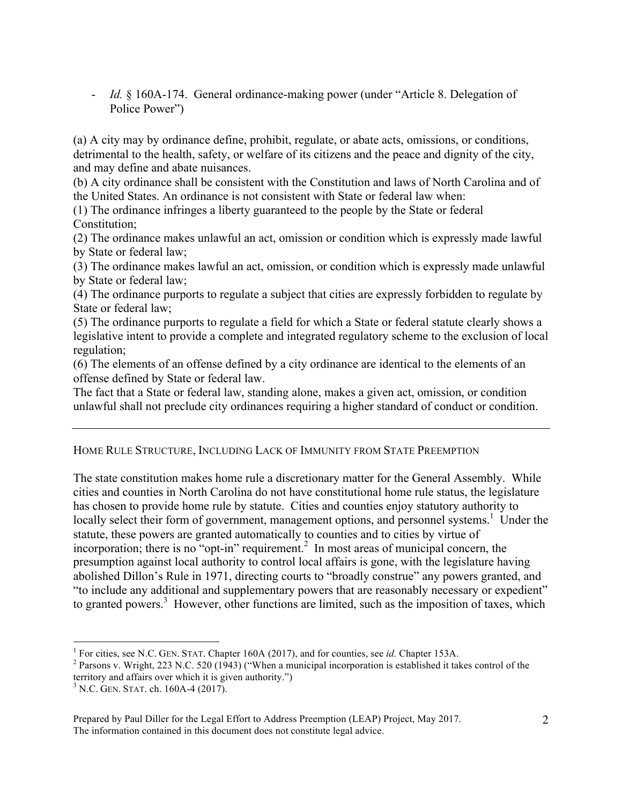- *Id.* § 160A-174. General ordinance-making power (under "Article 8. Delegation of Police Power")

(a) A city may by ordinance define, prohibit, regulate, or abate acts, omissions, or conditions, detrimental to the health, safety, or welfare of its citizens and the peace and dignity of the city, and may define and abate nuisances.

(b) A city ordinance shall be consistent with the Constitution and laws of North Carolina and of the United States. An ordinance is not consistent with State or federal law when:

(1) The ordinance infringes a liberty guaranteed to the people by the State or federal Constitution;

(2) The ordinance makes unlawful an act, omission or condition which is expressly made lawful by State or federal law;

(3) The ordinance makes lawful an act, omission, or condition which is expressly made unlawful by State or federal law;

(4) The ordinance purports to regulate a subject that cities are expressly forbidden to regulate by State or federal law;

(5) The ordinance purports to regulate a field for which a State or federal statute clearly shows a legislative intent to provide a complete and integrated regulatory scheme to the exclusion of local regulation;

(6) The elements of an offense defined by a city ordinance are identical to the elements of an offense defined by State or federal law.

The fact that a State or federal law, standing alone, makes a given act, omission, or condition unlawful shall not preclude city ordinances requiring a higher standard of conduct or condition.

# HOME RULE STRUCTURE, INCLUDING LACK OF IMMUNITY FROM STATE PREEMPTION

The state constitution makes home rule a discretionary matter for the General Assembly. While cities and counties in North Carolina do not have constitutional home rule status, the legislature has chosen to provide home rule by statute. Cities and counties enjoy statutory authority to locally select their form of government, management options, and personnel systems.<sup>1</sup> Under the statute, these powers are granted automatically to counties and to cities by virtue of incorporation; there is no "opt-in" requirement. 2 In most areas of municipal concern, the presumption against local authority to control local affairs is gone, with the legislature having abolished Dillon's Rule in 1971, directing courts to "broadly construe" any powers granted, and "to include any additional and supplementary powers that are reasonably necessary or expedient" to granted powers.<sup>3</sup> However, other functions are limited, such as the imposition of taxes, which

 $\frac{1}{1}$ 

<sup>&</sup>lt;sup>1</sup> For cities, see N.C. GEN. STAT. Chapter 160A (2017), and for counties, see *id*. Chapter 153A.<br><sup>2</sup> Parsons v. Wright, 223 N.C. 520 (1943) ("When a municipal incorporation is established it takes control of the territory and affairs over which it is given authority.")

<sup>&</sup>lt;sup>3</sup> N.C. GEN. STAT. ch. 160A-4 (2017).

Prepared by Paul Diller for the Legal Effort to Address Preemption (LEAP) Project, May 2017. The information contained in this document does not constitute legal advice.